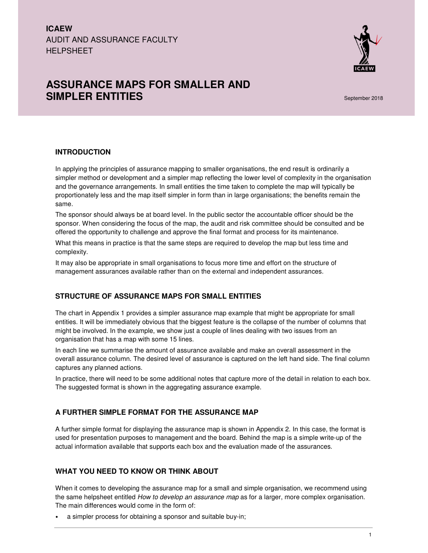

# **ASSURANCE MAPS FOR SMALLER AND SIMPLER ENTITIES Simple Entitled and September 2018**

### **INTRODUCTION**

In applying the principles of assurance mapping to smaller organisations, the end result is ordinarily a simpler method or development and a simpler map reflecting the lower level of complexity in the organisation and the governance arrangements. In small entities the time taken to complete the map will typically be proportionately less and the map itself simpler in form than in large organisations; the benefits remain the same.

The sponsor should always be at board level. In the public sector the accountable officer should be the sponsor. When considering the focus of the map, the audit and risk committee should be consulted and be offered the opportunity to challenge and approve the final format and process for its maintenance.

What this means in practice is that the same steps are required to develop the map but less time and complexity.

It may also be appropriate in small organisations to focus more time and effort on the structure of management assurances available rather than on the external and independent assurances.

#### **STRUCTURE OF ASSURANCE MAPS FOR SMALL ENTITIES**

The chart in Appendix 1 provides a simpler assurance map example that might be appropriate for small entities. It will be immediately obvious that the biggest feature is the collapse of the number of columns that might be involved. In the example, we show just a couple of lines dealing with two issues from an organisation that has a map with some 15 lines.

In each line we summarise the amount of assurance available and make an overall assessment in the overall assurance column. The desired level of assurance is captured on the left hand side. The final column captures any planned actions.

In practice, there will need to be some additional notes that capture more of the detail in relation to each box. The suggested format is shown in the aggregating assurance example.

## **A FURTHER SIMPLE FORMAT FOR THE ASSURANCE MAP**

A further simple format for displaying the assurance map is shown in Appendix 2. In this case, the format is used for presentation purposes to management and the board. Behind the map is a simple write-up of the actual information available that supports each box and the evaluation made of the assurances.

### **WHAT YOU NEED TO KNOW OR THINK ABOUT**

When it comes to developing the assurance map for a small and simple organisation, we recommend using the same helpsheet entitled How to develop an assurance map as for a larger, more complex organisation. The main differences would come in the form of:

• a simpler process for obtaining a sponsor and suitable buy-in;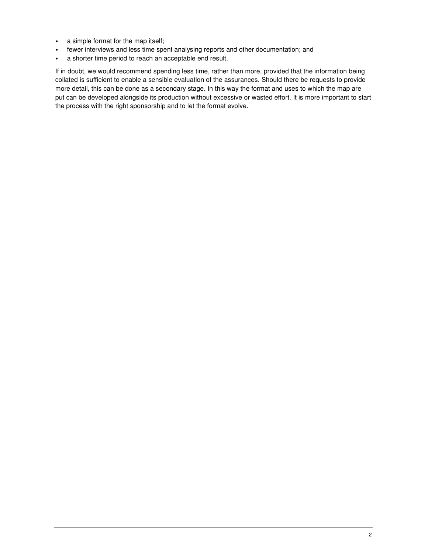- a simple format for the map itself;
- fewer interviews and less time spent analysing reports and other documentation; and
- a shorter time period to reach an acceptable end result.

If in doubt, we would recommend spending less time, rather than more, provided that the information being collated is sufficient to enable a sensible evaluation of the assurances. Should there be requests to provide more detail, this can be done as a secondary stage. In this way the format and uses to which the map are put can be developed alongside its production without excessive or wasted effort. It is more important to start the process with the right sponsorship and to let the format evolve.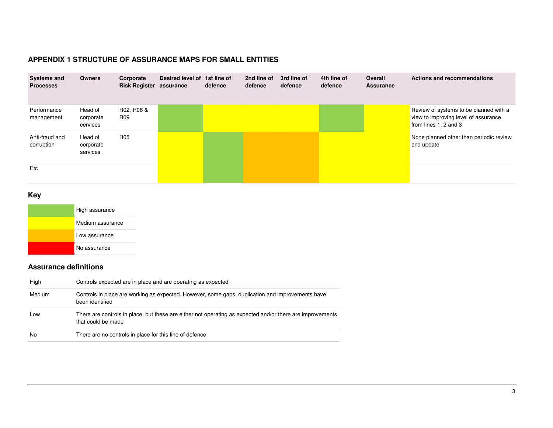# **APPENDIX 1 STRUCTURE OF ASSURANCE MAPS FOR SMALL ENTITIES**

| <b>Systems and</b><br><b>Processes</b> | <b>Owners</b>                    | Corporate<br><b>Risk Register assurance</b> | Desired level of 1st line of | defence | 2nd line of<br>defence | 3rd line of<br>defence | 4th line of<br>defence | Overall<br><b>Assurance</b> | Actions and recommendations                                                                             |
|----------------------------------------|----------------------------------|---------------------------------------------|------------------------------|---------|------------------------|------------------------|------------------------|-----------------------------|---------------------------------------------------------------------------------------------------------|
| Performance<br>management              | Head of<br>corporate<br>cervices | R02, R06 &<br>R09                           |                              |         |                        |                        |                        |                             | Review of systems to be planned with a<br>view to improving level of assurance<br>from lines 1, 2 and 3 |
| Anti-fraud and<br>corruption           | Head of<br>corporate<br>services | R <sub>05</sub>                             |                              |         |                        |                        |                        |                             | None planned other than periodic review<br>and update                                                   |
| Etc                                    |                                  |                                             |                              |         |                        |                        |                        |                             |                                                                                                         |

**Key** 

| High assurance   |
|------------------|
| Medium assurance |
| Low assurance    |
| No assurance     |

# **Assurance definitions**

| High   | Controls expected are in place and are operating as expected                                                                    |
|--------|---------------------------------------------------------------------------------------------------------------------------------|
| Medium | Controls in place are working as expected. However, some gaps, duplication and improvements have<br>been identified             |
| Low    | There are controls in place, but these are either not operating as expected and/or there are improvements<br>that could be made |
| No     | There are no controls in place for this line of defence                                                                         |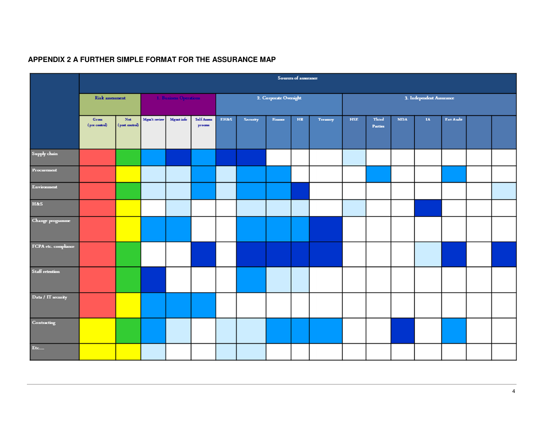|                      | Sources of assurance            |                                |                        |                  |                          |                        |          |         |    |          |                          |                  |            |    |           |  |  |
|----------------------|---------------------------------|--------------------------------|------------------------|------------------|--------------------------|------------------------|----------|---------|----|----------|--------------------------|------------------|------------|----|-----------|--|--|
|                      | <b>Risk assessment</b>          |                                | 1. Business Operations |                  |                          | 2. Corporate Oversight |          |         |    |          | 3. Independent Assurance |                  |            |    |           |  |  |
|                      | Gross<br>$(\text{pre control})$ | $_{\rm Net}$<br>(post control) | Mgm't review           | <b>Mgmt</b> info | Self Assess<br>$process$ | <b>EH&amp;S</b>        | Security | Finance | HR | Treasury | <b>HSE</b>               | Third<br>Parties | <b>NDA</b> | IA | Ext Audit |  |  |
| $S$ upply chain      |                                 |                                |                        |                  |                          |                        |          |         |    |          |                          |                  |            |    |           |  |  |
| Procurement          |                                 |                                |                        |                  |                          |                        |          |         |    |          |                          |                  |            |    |           |  |  |
| Environment          |                                 |                                |                        |                  |                          |                        |          |         |    |          |                          |                  |            |    |           |  |  |
| <b>H&amp;S</b>       |                                 |                                |                        |                  |                          |                        |          |         |    |          |                          |                  |            |    |           |  |  |
| Change programme     |                                 |                                |                        |                  |                          |                        |          |         |    |          |                          |                  |            |    |           |  |  |
| FCPA etc. compliance |                                 |                                |                        |                  |                          |                        |          |         |    |          |                          |                  |            |    |           |  |  |
| Staff retention      |                                 |                                |                        |                  |                          |                        |          |         |    |          |                          |                  |            |    |           |  |  |
| Data / IT security   |                                 |                                |                        |                  |                          |                        |          |         |    |          |                          |                  |            |    |           |  |  |
| Contracting          |                                 |                                |                        |                  |                          |                        |          |         |    |          |                          |                  |            |    |           |  |  |
| Etc                  |                                 |                                |                        |                  |                          |                        |          |         |    |          |                          |                  |            |    |           |  |  |

# **APPENDIX 2 A FURTHER SIMPLE FORMAT FOR THE ASSURANCE MAP**